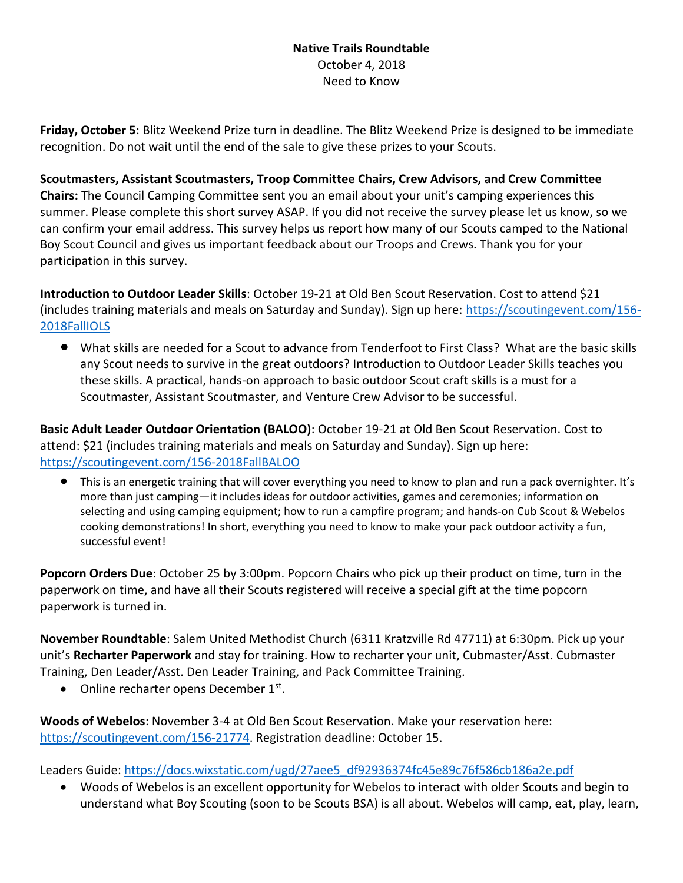## **Native Trails Roundtable**  October 4, 2018 Need to Know

**Friday, October 5**: Blitz Weekend Prize turn in deadline. The Blitz Weekend Prize is designed to be immediate recognition. Do not wait until the end of the sale to give these prizes to your Scouts.

**Scoutmasters, Assistant Scoutmasters, Troop Committee Chairs, Crew Advisors, and Crew Committee Chairs:** The Council Camping Committee sent you an email about your unit's camping experiences this summer. Please complete this short survey ASAP. If you did not receive the survey please let us know, so we can confirm your email address. This survey helps us report how many of our Scouts camped to the National Boy Scout Council and gives us important feedback about our Troops and Crews. Thank you for your participation in this survey.

**Introduction to Outdoor Leader Skills**: October 19-21 at Old Ben Scout Reservation. Cost to attend \$21 (includes training materials and meals on Saturday and Sunday). Sign up here: [https://scoutingevent.com/156-](https://scoutingevent.com/156-2018FallIOLS) [2018FallIOLS](https://scoutingevent.com/156-2018FallIOLS)

• What skills are needed for a Scout to advance from Tenderfoot to First Class? What are the basic skills any Scout needs to survive in the great outdoors? Introduction to Outdoor Leader Skills teaches you these skills. A practical, hands-on approach to basic outdoor Scout craft skills is a must for a Scoutmaster, Assistant Scoutmaster, and Venture Crew Advisor to be successful.

**Basic Adult Leader Outdoor Orientation (BALOO)**: October 19-21 at Old Ben Scout Reservation. Cost to attend: \$21 (includes training materials and meals on Saturday and Sunday). Sign up here: <https://scoutingevent.com/156-2018FallBALOO>

• This is an energetic training that will cover everything you need to know to plan and run a pack overnighter. It's more than just camping—it includes ideas for outdoor activities, games and ceremonies; information on selecting and using camping equipment; how to run a campfire program; and hands-on Cub Scout & Webelos cooking demonstrations! In short, everything you need to know to make your pack outdoor activity a fun, successful event!

**Popcorn Orders Due**: October 25 by 3:00pm. Popcorn Chairs who pick up their product on time, turn in the paperwork on time, and have all their Scouts registered will receive a special gift at the time popcorn paperwork is turned in.

**November Roundtable**: Salem United Methodist Church (6311 Kratzville Rd 47711) at 6:30pm. Pick up your unit's **Recharter Paperwork** and stay for training. How to recharter your unit, Cubmaster/Asst. Cubmaster Training, Den Leader/Asst. Den Leader Training, and Pack Committee Training.

• Online recharter opens December 1st.

**Woods of Webelos**: November 3-4 at Old Ben Scout Reservation. Make your reservation here: [https://scoutingevent.com/156-21774.](https://scoutingevent.com/156-21774) Registration deadline: October 15.

Leaders Guide: [https://docs.wixstatic.com/ugd/27aee5\\_df92936374fc45e89c76f586cb186a2e.pdf](https://docs.wixstatic.com/ugd/27aee5_df92936374fc45e89c76f586cb186a2e.pdf)

• Woods of Webelos is an excellent opportunity for Webelos to interact with older Scouts and begin to understand what Boy Scouting (soon to be Scouts BSA) is all about. Webelos will camp, eat, play, learn,